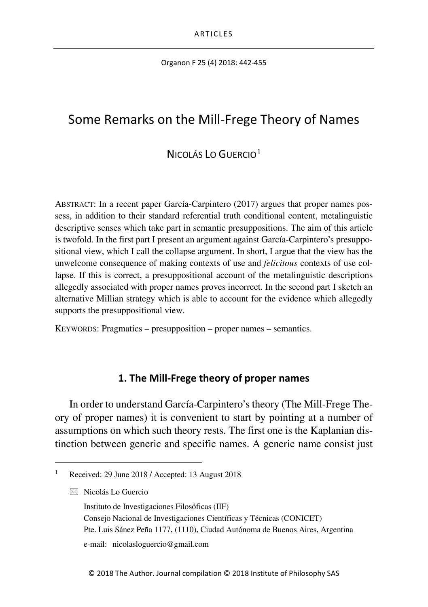Organon F 25 (4) 2018: 442-455

# Some Remarks on the Mill-Frege Theory of Names

## NICOLÁS LO GUERCIO[1](#page-0-0)

ABSTRACT: In a recent paper García-Carpintero (2017) argues that proper names possess, in addition to their standard referential truth conditional content, metalinguistic descriptive senses which take part in semantic presuppositions. The aim of this article is twofold. In the first part I present an argument against García-Carpintero's presuppositional view, which I call the collapse argument. In short, I argue that the view has the unwelcome consequence of making contexts of use and *felicitous* contexts of use collapse. If this is correct, a presuppositional account of the metalinguistic descriptions allegedly associated with proper names proves incorrect. In the second part I sketch an alternative Millian strategy which is able to account for the evidence which allegedly supports the presuppositional view.

KEYWORDS: Pragmatics – presupposition – proper names – semantics.

#### **1. The Mill-Frege theory of proper names**

In order to understand García-Carpintero's theory (The Mill-Frege Theory of proper names) it is convenient to start by pointing at a number of assumptions on which such theory rests. The first one is the Kaplanian distinction between generic and specific names. A generic name consist just

 $\boxtimes$  Nicolás Lo Guercio

<span id="page-0-0"></span>Received: 29 June 2018 / Accepted: 13 August 2018

Instituto de Investigaciones Filosóficas (IIF) Consejo Nacional de Investigaciones Científicas y Técnicas (CONICET) Pte. Luis Sánez Peña 1177, (1110), Ciudad Autónoma de Buenos Aires, Argentina e-mail: nicolasloguercio@gmail.com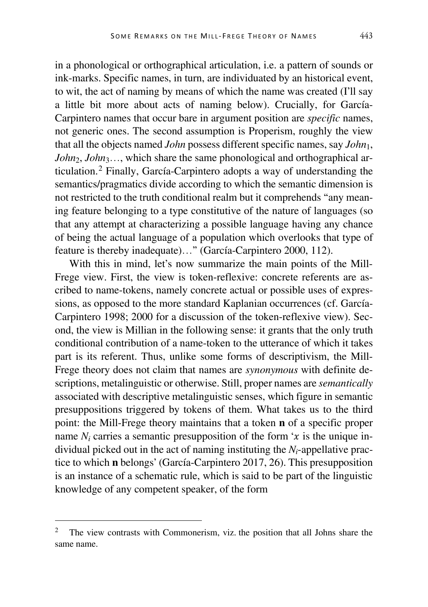in a phonological or orthographical articulation, i.e. a pattern of sounds or ink-marks. Specific names, in turn, are individuated by an historical event, to wit, the act of naming by means of which the name was created (I'll say a little bit more about acts of naming below). Crucially, for García-Carpintero names that occur bare in argument position are *specific* names, not generic ones. The second assumption is Properism, roughly the view that all the objects named *John* possess different specific names, say *John*1, *John*<sub>2</sub>, *John*<sub>3</sub>…, which share the same phonological and orthographical articulation.[2](#page-1-0) Finally, García-Carpintero adopts a way of understanding the semantics/pragmatics divide according to which the semantic dimension is not restricted to the truth conditional realm but it comprehends "any meaning feature belonging to a type constitutive of the nature of languages (so that any attempt at characterizing a possible language having any chance of being the actual language of a population which overlooks that type of feature is thereby inadequate)…" (García-Carpintero 2000, 112).

With this in mind, let's now summarize the main points of the Mill-Frege view. First, the view is token-reflexive: concrete referents are ascribed to name-tokens, namely concrete actual or possible uses of expressions, as opposed to the more standard Kaplanian occurrences (cf. García-Carpintero 1998; 2000 for a discussion of the token-reflexive view). Second, the view is Millian in the following sense: it grants that the only truth conditional contribution of a name-token to the utterance of which it takes part is its referent. Thus, unlike some forms of descriptivism, the Mill-Frege theory does not claim that names are *synonymous* with definite descriptions, metalinguistic or otherwise. Still, proper names are *semantically* associated with descriptive metalinguistic senses, which figure in semantic presuppositions triggered by tokens of them. What takes us to the third point: the Mill-Frege theory maintains that a token **n** of a specific proper name  $N_i$  carries a semantic presupposition of the form ' $x$  is the unique individual picked out in the act of naming instituting the *Ni*-appellative practice to which **n** belongs' (García-Carpintero 2017, 26). This presupposition is an instance of a schematic rule, which is said to be part of the linguistic knowledge of any competent speaker, of the form

<span id="page-1-0"></span><sup>&</sup>lt;sup>2</sup> The view contrasts with Commonerism, viz. the position that all Johns share the same name.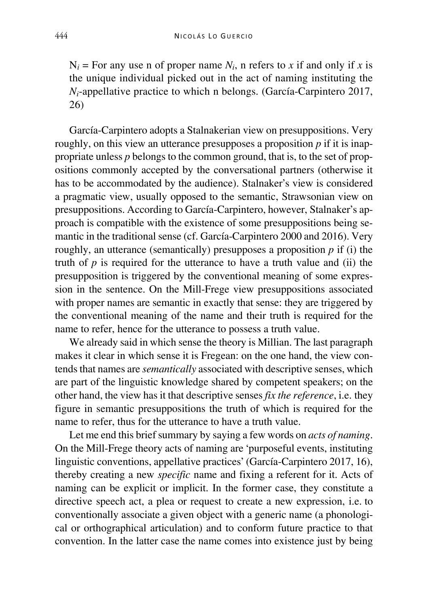$N_i$  = For any use n of proper name  $N_i$ , n refers to *x* if and only if *x* is the unique individual picked out in the act of naming instituting the *Ni*-appellative practice to which n belongs. (García-Carpintero 2017, 26)

García-Carpintero adopts a Stalnakerian view on presuppositions. Very roughly, on this view an utterance presupposes a proposition  $p$  if it is inappropriate unless *p* belongs to the common ground, that is, to the set of propositions commonly accepted by the conversational partners (otherwise it has to be accommodated by the audience). Stalnaker's view is considered a pragmatic view, usually opposed to the semantic, Strawsonian view on presuppositions. According to García-Carpintero, however, Stalnaker's approach is compatible with the existence of some presuppositions being semantic in the traditional sense (cf. García-Carpintero 2000 and 2016). Very roughly, an utterance (semantically) presupposes a proposition *p* if (i) the truth of  $p$  is required for the utterance to have a truth value and (ii) the presupposition is triggered by the conventional meaning of some expression in the sentence. On the Mill-Frege view presuppositions associated with proper names are semantic in exactly that sense: they are triggered by the conventional meaning of the name and their truth is required for the name to refer, hence for the utterance to possess a truth value.

We already said in which sense the theory is Millian. The last paragraph makes it clear in which sense it is Fregean: on the one hand, the view contends that names are *semantically* associated with descriptive senses, which are part of the linguistic knowledge shared by competent speakers; on the other hand, the view has it that descriptive senses *fix the reference*, i.e. they figure in semantic presuppositions the truth of which is required for the name to refer, thus for the utterance to have a truth value.

Let me end this brief summary by saying a few words on *acts of naming*. On the Mill-Frege theory acts of naming are 'purposeful events, instituting linguistic conventions, appellative practices' (García-Carpintero 2017, 16), thereby creating a new *specific* name and fixing a referent for it. Acts of naming can be explicit or implicit. In the former case, they constitute a directive speech act, a plea or request to create a new expression, i.e. to conventionally associate a given object with a generic name (a phonological or orthographical articulation) and to conform future practice to that convention. In the latter case the name comes into existence just by being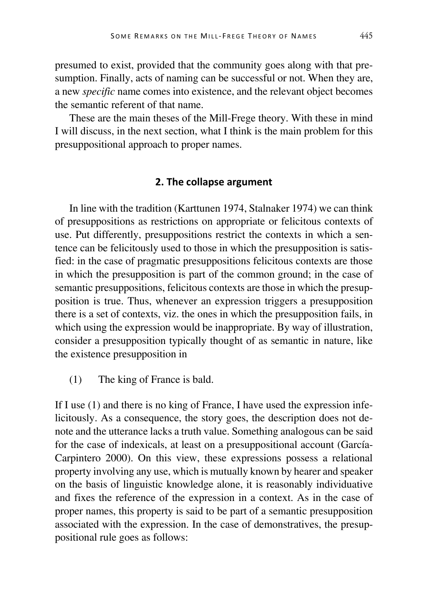presumed to exist, provided that the community goes along with that presumption. Finally, acts of naming can be successful or not. When they are, a new *specific* name comes into existence, and the relevant object becomes the semantic referent of that name.

These are the main theses of the Mill-Frege theory. With these in mind I will discuss, in the next section, what I think is the main problem for this presuppositional approach to proper names.

#### **2. The collapse argument**

In line with the tradition (Karttunen 1974, Stalnaker 1974) we can think of presuppositions as restrictions on appropriate or felicitous contexts of use. Put differently, presuppositions restrict the contexts in which a sentence can be felicitously used to those in which the presupposition is satisfied: in the case of pragmatic presuppositions felicitous contexts are those in which the presupposition is part of the common ground; in the case of semantic presuppositions, felicitous contexts are those in which the presupposition is true. Thus, whenever an expression triggers a presupposition there is a set of contexts, viz. the ones in which the presupposition fails, in which using the expression would be inappropriate. By way of illustration, consider a presupposition typically thought of as semantic in nature, like the existence presupposition in

(1) The king of France is bald.

If I use (1) and there is no king of France, I have used the expression infelicitously. As a consequence, the story goes, the description does not denote and the utterance lacks a truth value. Something analogous can be said for the case of indexicals, at least on a presuppositional account (García-Carpintero 2000). On this view, these expressions possess a relational property involving any use, which is mutually known by hearer and speaker on the basis of linguistic knowledge alone, it is reasonably individuative and fixes the reference of the expression in a context. As in the case of proper names, this property is said to be part of a semantic presupposition associated with the expression. In the case of demonstratives, the presuppositional rule goes as follows: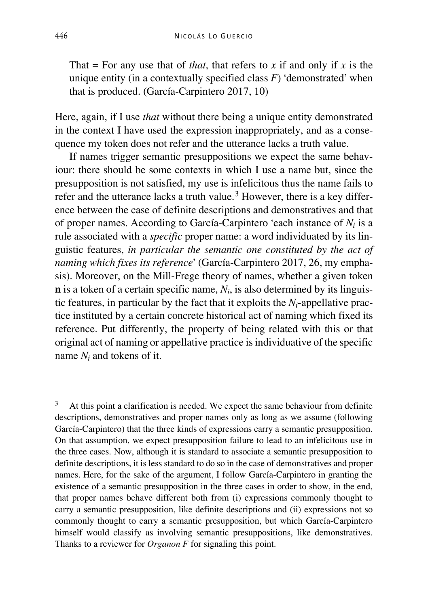That = For any use that of *that*, that refers to *x* if and only if *x* is the unique entity (in a contextually specified class *F*) 'demonstrated' when that is produced. (García-Carpintero 2017, 10)

Here, again, if I use *that* without there being a unique entity demonstrated in the context I have used the expression inappropriately, and as a consequence my token does not refer and the utterance lacks a truth value.

If names trigger semantic presuppositions we expect the same behaviour: there should be some contexts in which I use a name but, since the presupposition is not satisfied, my use is infelicitous thus the name fails to refer and the utterance lacks a truth value.<sup>[3](#page-4-0)</sup> However, there is a key difference between the case of definite descriptions and demonstratives and that of proper names. According to García-Carpintero 'each instance of *Ni* is a rule associated with a *specific* proper name: a word individuated by its linguistic features, *in particular the semantic one constituted by the act of naming which fixes its reference*' (García-Carpintero 2017, 26, my emphasis). Moreover, on the Mill-Frege theory of names, whether a given token **n** is a token of a certain specific name,  $N_i$ , is also determined by its linguistic features, in particular by the fact that it exploits the *Ni*-appellative practice instituted by a certain concrete historical act of naming which fixed its reference. Put differently, the property of being related with this or that original act of naming or appellative practice is individuative of the specific name *Ni* and tokens of it.

<span id="page-4-0"></span> <sup>3</sup> At this point a clarification is needed. We expect the same behaviour from definite descriptions, demonstratives and proper names only as long as we assume (following García-Carpintero) that the three kinds of expressions carry a semantic presupposition. On that assumption, we expect presupposition failure to lead to an infelicitous use in the three cases. Now, although it is standard to associate a semantic presupposition to definite descriptions, it is less standard to do so in the case of demonstratives and proper names. Here, for the sake of the argument, I follow García-Carpintero in granting the existence of a semantic presupposition in the three cases in order to show, in the end, that proper names behave different both from (i) expressions commonly thought to carry a semantic presupposition, like definite descriptions and (ii) expressions not so commonly thought to carry a semantic presupposition, but which García-Carpintero himself would classify as involving semantic presuppositions, like demonstratives. Thanks to a reviewer for *Organon F* for signaling this point.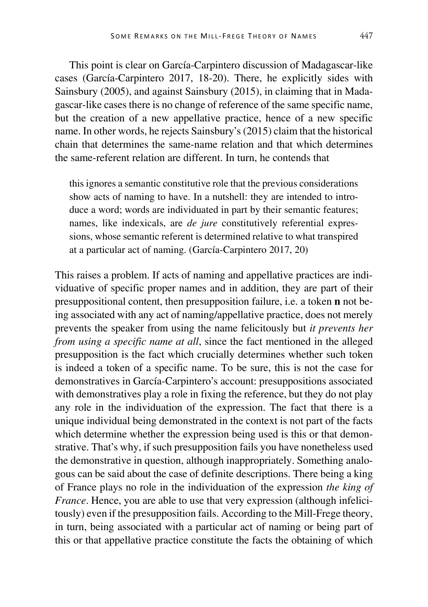This point is clear on García-Carpintero discussion of Madagascar-like cases (García-Carpintero 2017, 18-20). There, he explicitly sides with Sainsbury (2005), and against Sainsbury (2015), in claiming that in Madagascar-like cases there is no change of reference of the same specific name, but the creation of a new appellative practice, hence of a new specific name. In other words, he rejects Sainsbury's (2015) claim that the historical chain that determines the same-name relation and that which determines the same-referent relation are different. In turn, he contends that

this ignores a semantic constitutive role that the previous considerations show acts of naming to have. In a nutshell: they are intended to introduce a word; words are individuated in part by their semantic features; names, like indexicals, are *de jure* constitutively referential expressions, whose semantic referent is determined relative to what transpired at a particular act of naming. (García-Carpintero 2017, 20)

This raises a problem. If acts of naming and appellative practices are individuative of specific proper names and in addition, they are part of their presuppositional content, then presupposition failure, i.e. a token **n** not being associated with any act of naming/appellative practice, does not merely prevents the speaker from using the name felicitously but *it prevents her from using a specific name at all*, since the fact mentioned in the alleged presupposition is the fact which crucially determines whether such token is indeed a token of a specific name. To be sure, this is not the case for demonstratives in García-Carpintero's account: presuppositions associated with demonstratives play a role in fixing the reference, but they do not play any role in the individuation of the expression. The fact that there is a unique individual being demonstrated in the context is not part of the facts which determine whether the expression being used is this or that demonstrative. That's why, if such presupposition fails you have nonetheless used the demonstrative in question, although inappropriately. Something analogous can be said about the case of definite descriptions. There being a king of France plays no role in the individuation of the expression *the king of France*. Hence, you are able to use that very expression (although infelicitously) even if the presupposition fails. According to the Mill-Frege theory, in turn, being associated with a particular act of naming or being part of this or that appellative practice constitute the facts the obtaining of which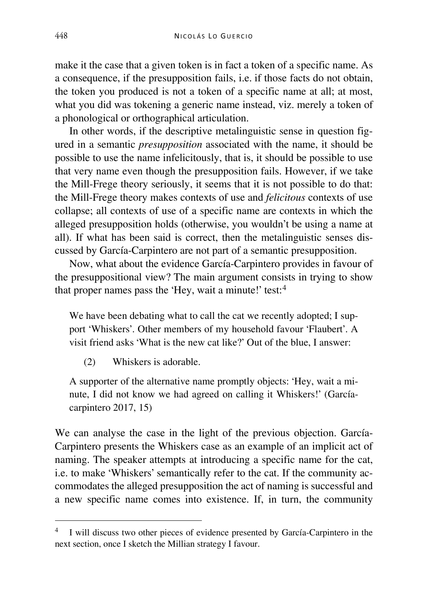make it the case that a given token is in fact a token of a specific name. As a consequence, if the presupposition fails, i.e. if those facts do not obtain, the token you produced is not a token of a specific name at all; at most, what you did was tokening a generic name instead, viz. merely a token of a phonological or orthographical articulation.

In other words, if the descriptive metalinguistic sense in question figured in a semantic *presupposition* associated with the name, it should be possible to use the name infelicitously, that is, it should be possible to use that very name even though the presupposition fails. However, if we take the Mill-Frege theory seriously, it seems that it is not possible to do that: the Mill-Frege theory makes contexts of use and *felicitous* contexts of use collapse; all contexts of use of a specific name are contexts in which the alleged presupposition holds (otherwise, you wouldn't be using a name at all). If what has been said is correct, then the metalinguistic senses discussed by García-Carpintero are not part of a semantic presupposition.

Now, what about the evidence García-Carpintero provides in favour of the presuppositional view? The main argument consists in trying to show that proper names pass the 'Hey, wait a minute!' test:<sup>[4](#page-6-0)</sup>

We have been debating what to call the cat we recently adopted; I support 'Whiskers'. Other members of my household favour 'Flaubert'. A visit friend asks 'What is the new cat like?' Out of the blue, I answer:

(2) Whiskers is adorable.

A supporter of the alternative name promptly objects: 'Hey, wait a minute, I did not know we had agreed on calling it Whiskers!' (Garcíacarpintero 2017, 15)

We can analyse the case in the light of the previous objection. García-Carpintero presents the Whiskers case as an example of an implicit act of naming. The speaker attempts at introducing a specific name for the cat, i.e. to make 'Whiskers' semantically refer to the cat. If the community accommodates the alleged presupposition the act of naming is successful and a new specific name comes into existence. If, in turn, the community

<span id="page-6-0"></span> <sup>4</sup> I will discuss two other pieces of evidence presented by García-Carpintero in the next section, once I sketch the Millian strategy I favour.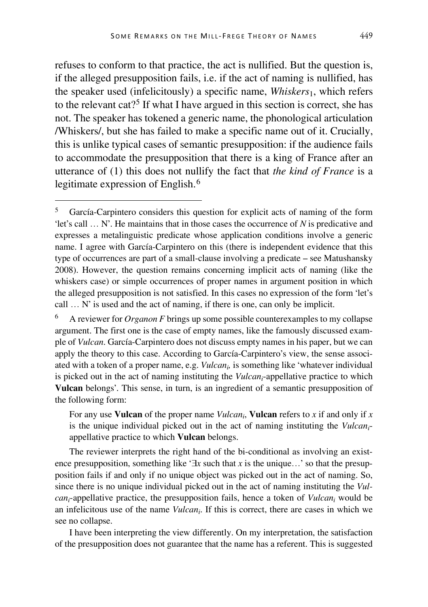refuses to conform to that practice, the act is nullified. But the question is, if the alleged presupposition fails, i.e. if the act of naming is nullified, has the speaker used (infelicitously) a specific name, *Whiskers*1, which refers to the relevant cat?[5](#page-7-0) If what I have argued in this section is correct, she has not. The speaker has tokened a generic name, the phonological articulation /Whiskers/, but she has failed to make a specific name out of it. Crucially, this is unlike typical cases of semantic presupposition: if the audience fails to accommodate the presupposition that there is a king of France after an utterance of (1) this does not nullify the fact that *the kind of France* is a legitimate expression of English.[6](#page-7-1)

For any use **Vulcan** of the proper name *Vulcani*, **Vulcan** refers to *x* if and only if *x* is the unique individual picked out in the act of naming instituting the *Vulcani*appellative practice to which **Vulcan** belongs.

The reviewer interprets the right hand of the bi-conditional as involving an existence presupposition, something like '∃*x* such that *x* is the unique…' so that the presupposition fails if and only if no unique object was picked out in the act of naming. So, since there is no unique individual picked out in the act of naming instituting the *Vulcani*-appellative practice, the presupposition fails, hence a token of *Vulcani* would be an infelicitous use of the name *Vulcani*. If this is correct, there are cases in which we see no collapse.

I have been interpreting the view differently. On my interpretation, the satisfaction of the presupposition does not guarantee that the name has a referent. This is suggested

<span id="page-7-0"></span> <sup>5</sup> García-Carpintero considers this question for explicit acts of naming of the form 'let's call … N'. He maintains that in those cases the occurrence of *N* is predicative and expresses a metalinguistic predicate whose application conditions involve a generic name. I agree with García-Carpintero on this (there is independent evidence that this type of occurrences are part of a small-clause involving a predicate – see Matushansky 2008). However, the question remains concerning implicit acts of naming (like the whiskers case) or simple occurrences of proper names in argument position in which the alleged presupposition is not satisfied. In this cases no expression of the form 'let's call … N' is used and the act of naming, if there is one, can only be implicit.

<span id="page-7-1"></span><sup>6</sup> A reviewer for *Organon F* brings up some possible counterexamples to my collapse argument. The first one is the case of empty names, like the famously discussed example of *Vulcan*. García-Carpintero does not discuss empty names in his paper, but we can apply the theory to this case. According to García-Carpintero's view, the sense associated with a token of a proper name, e.g. *Vulcani,* is something like 'whatever individual is picked out in the act of naming instituting the *Vulcan<sub>i</sub>*-appellative practice to which **Vulcan** belongs'. This sense, in turn, is an ingredient of a semantic presupposition of the following form: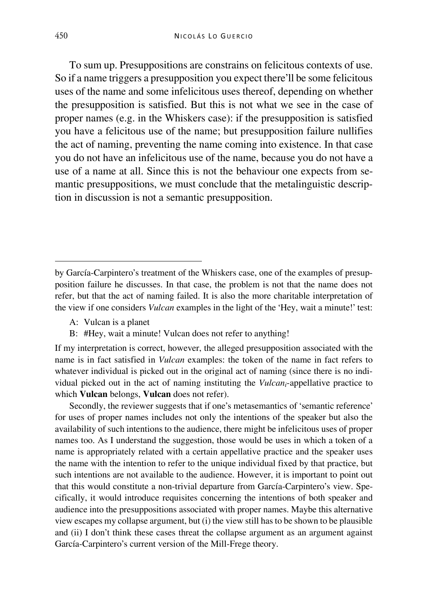To sum up. Presuppositions are constrains on felicitous contexts of use. So if a name triggers a presupposition you expect there'll be some felicitous uses of the name and some infelicitous uses thereof, depending on whether the presupposition is satisfied. But this is not what we see in the case of proper names (e.g. in the Whiskers case): if the presupposition is satisfied you have a felicitous use of the name; but presupposition failure nullifies the act of naming, preventing the name coming into existence. In that case you do not have an infelicitous use of the name, because you do not have a use of a name at all. Since this is not the behaviour one expects from semantic presuppositions, we must conclude that the metalinguistic description in discussion is not a semantic presupposition.

- A: Vulcan is a planet
- B: #Hey, wait a minute! Vulcan does not refer to anything!

If my interpretation is correct, however, the alleged presupposition associated with the name is in fact satisfied in *Vulcan* examples: the token of the name in fact refers to whatever individual is picked out in the original act of naming (since there is no individual picked out in the act of naming instituting the *Vulcani*-appellative practice to which **Vulcan** belongs, **Vulcan** does not refer).

Secondly, the reviewer suggests that if one's metasemantics of 'semantic reference' for uses of proper names includes not only the intentions of the speaker but also the availability of such intentions to the audience, there might be infelicitous uses of proper names too. As I understand the suggestion, those would be uses in which a token of a name is appropriately related with a certain appellative practice and the speaker uses the name with the intention to refer to the unique individual fixed by that practice, but such intentions are not available to the audience. However, it is important to point out that this would constitute a non-trivial departure from García-Carpintero's view. Specifically, it would introduce requisites concerning the intentions of both speaker and audience into the presuppositions associated with proper names. Maybe this alternative view escapes my collapse argument, but (i) the view still has to be shown to be plausible and (ii) I don't think these cases threat the collapse argument as an argument against García-Carpintero's current version of the Mill-Frege theory.

Ĩ

by García-Carpintero's treatment of the Whiskers case, one of the examples of presupposition failure he discusses. In that case, the problem is not that the name does not refer, but that the act of naming failed. It is also the more charitable interpretation of the view if one considers *Vulcan* examples in the light of the 'Hey, wait a minute!' test: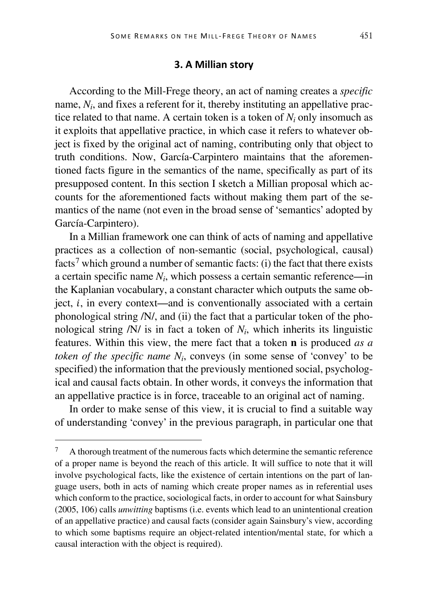#### **3. A Millian story**

According to the Mill-Frege theory, an act of naming creates a *specific* name,  $N_i$ , and fixes a referent for it, thereby instituting an appellative practice related to that name. A certain token is a token of  $N_i$  only insomuch as it exploits that appellative practice, in which case it refers to whatever object is fixed by the original act of naming, contributing only that object to truth conditions. Now, García-Carpintero maintains that the aforementioned facts figure in the semantics of the name, specifically as part of its presupposed content. In this section I sketch a Millian proposal which accounts for the aforementioned facts without making them part of the semantics of the name (not even in the broad sense of 'semantics' adopted by García-Carpintero).

In a Millian framework one can think of acts of naming and appellative practices as a collection of non-semantic (social, psychological, causal) facts<sup>[7](#page-9-0)</sup> which ground a number of semantic facts: (i) the fact that there exists a certain specific name *Ni*, which possess a certain semantic reference—in the Kaplanian vocabulary, a constant character which outputs the same object,  $i$ , in every context—and is conventionally associated with a certain phonological string /N/, and (ii) the fact that a particular token of the phonological string  $/N/$  is in fact a token of  $N<sub>i</sub>$ , which inherits its linguistic features. Within this view, the mere fact that a token **n** is produced *as a token of the specific name Ni*, conveys (in some sense of 'convey' to be specified) the information that the previously mentioned social, psychological and causal facts obtain. In other words, it conveys the information that an appellative practice is in force, traceable to an original act of naming.

In order to make sense of this view, it is crucial to find a suitable way of understanding 'convey' in the previous paragraph, in particular one that

<span id="page-9-0"></span> <sup>7</sup> A thorough treatment of the numerous facts which determine the semantic reference of a proper name is beyond the reach of this article. It will suffice to note that it will involve psychological facts, like the existence of certain intentions on the part of language users, both in acts of naming which create proper names as in referential uses which conform to the practice, sociological facts, in order to account for what Sainsbury (2005, 106) calls *unwitting* baptisms (i.e. events which lead to an unintentional creation of an appellative practice) and causal facts (consider again Sainsbury's view, according to which some baptisms require an object-related intention/mental state, for which a causal interaction with the object is required).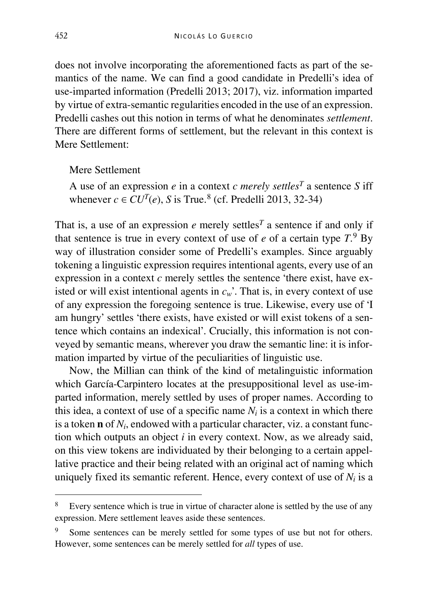does not involve incorporating the aforementioned facts as part of the semantics of the name. We can find a good candidate in Predelli's idea of use-imparted information (Predelli 2013; 2017), viz. information imparted by virtue of extra-semantic regularities encoded in the use of an expression. Predelli cashes out this notion in terms of what he denominates *settlement*. There are different forms of settlement, but the relevant in this context is Mere Settlement:

Mere Settlement

A use of an expression  $e$  in a context  $c$  *merely settles<sup>T</sup>* a sentence  $S$  iff whenever  $c \in CU^T(e)$ , *S* is True.<sup>[8](#page-10-0)</sup> (cf. Predelli 2013, 32-34)

That is, a use of an expression  $e$  merely settles<sup>*T*</sup> a sentence if and only if that sentence is true in every context of use of  $e$  of a certain type  $T$ .<sup>[9](#page-10-1)</sup> By way of illustration consider some of Predelli's examples. Since arguably tokening a linguistic expression requires intentional agents, every use of an expression in a context *c* merely settles the sentence 'there exist, have existed or will exist intentional agents in  $c_w$ . That is, in every context of use of any expression the foregoing sentence is true. Likewise, every use of 'I am hungry' settles 'there exists, have existed or will exist tokens of a sentence which contains an indexical'. Crucially, this information is not conveyed by semantic means, wherever you draw the semantic line: it is information imparted by virtue of the peculiarities of linguistic use.

Now, the Millian can think of the kind of metalinguistic information which García-Carpintero locates at the presuppositional level as use-imparted information, merely settled by uses of proper names. According to this idea, a context of use of a specific name  $N_i$  is a context in which there is a token **n** of *Ni*, endowed with a particular character, viz. a constant function which outputs an object *i* in every context. Now, as we already said, on this view tokens are individuated by their belonging to a certain appellative practice and their being related with an original act of naming which uniquely fixed its semantic referent. Hence, every context of use of  $N_i$  is a

<span id="page-10-0"></span>Every sentence which is true in virtue of character alone is settled by the use of any expression. Mere settlement leaves aside these sentences.

<span id="page-10-1"></span>Some sentences can be merely settled for some types of use but not for others. However, some sentences can be merely settled for *all* types of use.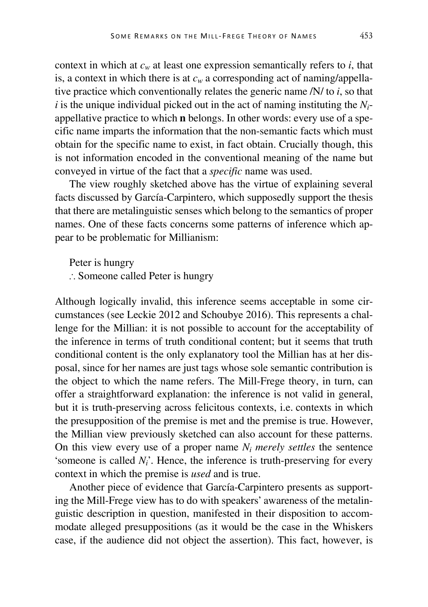context in which at  $c_w$  at least one expression semantically refers to *i*, that is, a context in which there is at  $c_w$  a corresponding act of naming/appellative practice which conventionally relates the generic name /N/ to *i*, so that  $i$  is the unique individual picked out in the act of naming instituting the  $N_i$ appellative practice to which **n** belongs. In other words: every use of a specific name imparts the information that the non-semantic facts which must obtain for the specific name to exist, in fact obtain. Crucially though, this is not information encoded in the conventional meaning of the name but conveyed in virtue of the fact that a *specific* name was used.

The view roughly sketched above has the virtue of explaining several facts discussed by García-Carpintero, which supposedly support the thesis that there are metalinguistic senses which belong to the semantics of proper names. One of these facts concerns some patterns of inference which appear to be problematic for Millianism:

Peter is hungry

∴ Someone called Peter is hungry

Although logically invalid, this inference seems acceptable in some circumstances (see Leckie 2012 and Schoubye 2016). This represents a challenge for the Millian: it is not possible to account for the acceptability of the inference in terms of truth conditional content; but it seems that truth conditional content is the only explanatory tool the Millian has at her disposal, since for her names are just tags whose sole semantic contribution is the object to which the name refers. The Mill-Frege theory, in turn, can offer a straightforward explanation: the inference is not valid in general, but it is truth-preserving across felicitous contexts, i.e. contexts in which the presupposition of the premise is met and the premise is true. However, the Millian view previously sketched can also account for these patterns. On this view every use of a proper name  $N_i$  *merely settles* the sentence 'someone is called *Ni*'. Hence, the inference is truth-preserving for every context in which the premise is *used* and is true.

Another piece of evidence that García-Carpintero presents as supporting the Mill-Frege view has to do with speakers' awareness of the metalinguistic description in question, manifested in their disposition to accommodate alleged presuppositions (as it would be the case in the Whiskers case, if the audience did not object the assertion). This fact, however, is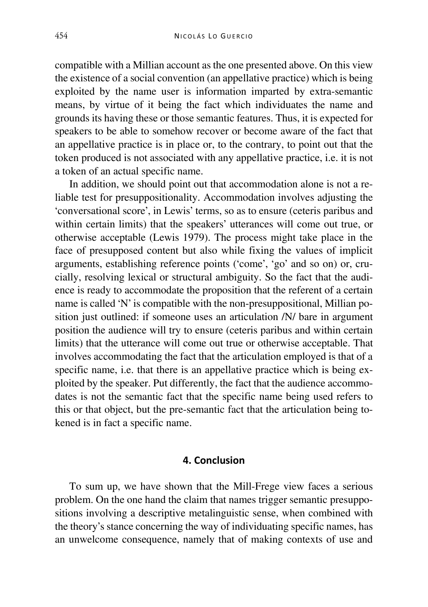compatible with a Millian account as the one presented above. On this view the existence of a social convention (an appellative practice) which is being exploited by the name user is information imparted by extra-semantic means, by virtue of it being the fact which individuates the name and grounds its having these or those semantic features. Thus, it is expected for speakers to be able to somehow recover or become aware of the fact that an appellative practice is in place or, to the contrary, to point out that the token produced is not associated with any appellative practice, i.e. it is not a token of an actual specific name.

In addition, we should point out that accommodation alone is not a reliable test for presuppositionality. Accommodation involves adjusting the 'conversational score', in Lewis' terms, so as to ensure (ceteris paribus and within certain limits) that the speakers' utterances will come out true, or otherwise acceptable (Lewis 1979). The process might take place in the face of presupposed content but also while fixing the values of implicit arguments, establishing reference points ('come', 'go' and so on) or, crucially, resolving lexical or structural ambiguity. So the fact that the audience is ready to accommodate the proposition that the referent of a certain name is called 'N' is compatible with the non-presuppositional, Millian position just outlined: if someone uses an articulation /N/ bare in argument position the audience will try to ensure (ceteris paribus and within certain limits) that the utterance will come out true or otherwise acceptable. That involves accommodating the fact that the articulation employed is that of a specific name, i.e. that there is an appellative practice which is being exploited by the speaker. Put differently, the fact that the audience accommodates is not the semantic fact that the specific name being used refers to this or that object, but the pre-semantic fact that the articulation being tokened is in fact a specific name.

### **4. Conclusion**

To sum up, we have shown that the Mill-Frege view faces a serious problem. On the one hand the claim that names trigger semantic presuppositions involving a descriptive metalinguistic sense, when combined with the theory's stance concerning the way of individuating specific names, has an unwelcome consequence, namely that of making contexts of use and